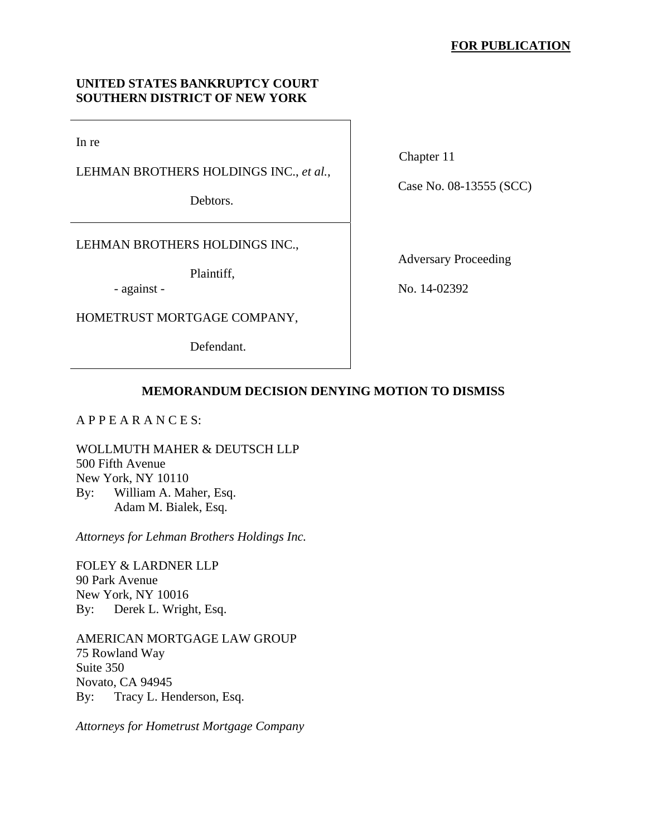## **UNITED STATES BANKRUPTCY COURT SOUTHERN DISTRICT OF NEW YORK**

In re

LEHMAN BROTHERS HOLDINGS INC., *et al.*,

Debtors.

LEHMAN BROTHERS HOLDINGS INC.,

Plaintiff,

- against -

HOMETRUST MORTGAGE COMPANY,

Defendant.

Chapter 11

Case No. 08-13555 (SCC)

Adversary Proceeding

No. 14-02392

# **MEMORANDUM DECISION DENYING MOTION TO DISMISS**

A P P E A R A N C E S:

WOLLMUTH MAHER & DEUTSCH LLP 500 Fifth Avenue New York, NY 10110 By: William A. Maher, Esq. Adam M. Bialek, Esq.

*Attorneys for Lehman Brothers Holdings Inc.*

FOLEY & LARDNER LLP 90 Park Avenue New York, NY 10016 By: Derek L. Wright, Esq.

AMERICAN MORTGAGE LAW GROUP 75 Rowland Way Suite 350 Novato, CA 94945 By: Tracy L. Henderson, Esq.

*Attorneys for Hometrust Mortgage Company*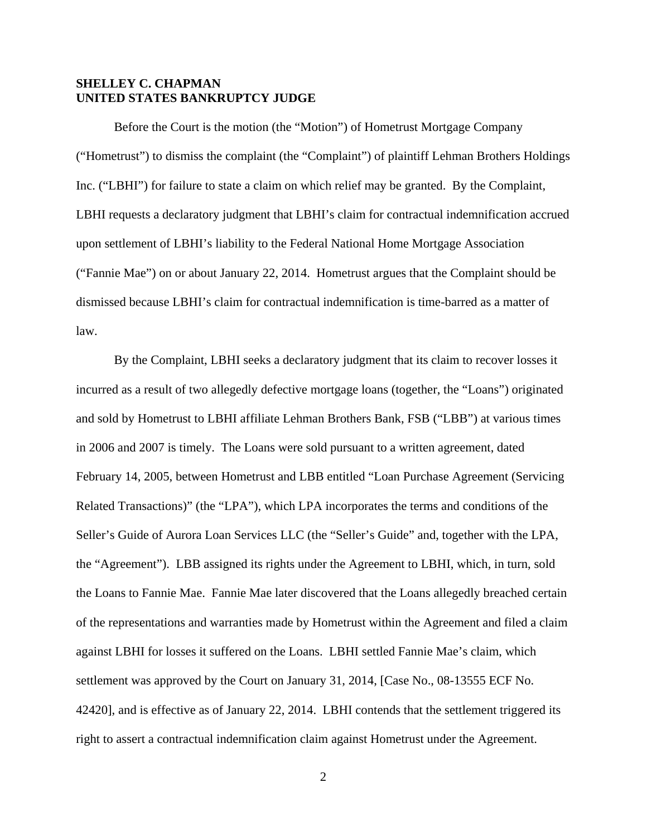## **SHELLEY C. CHAPMAN UNITED STATES BANKRUPTCY JUDGE**

Before the Court is the motion (the "Motion") of Hometrust Mortgage Company ("Hometrust") to dismiss the complaint (the "Complaint") of plaintiff Lehman Brothers Holdings Inc. ("LBHI") for failure to state a claim on which relief may be granted. By the Complaint, LBHI requests a declaratory judgment that LBHI's claim for contractual indemnification accrued upon settlement of LBHI's liability to the Federal National Home Mortgage Association ("Fannie Mae") on or about January 22, 2014. Hometrust argues that the Complaint should be dismissed because LBHI's claim for contractual indemnification is time-barred as a matter of law.

By the Complaint, LBHI seeks a declaratory judgment that its claim to recover losses it incurred as a result of two allegedly defective mortgage loans (together, the "Loans") originated and sold by Hometrust to LBHI affiliate Lehman Brothers Bank, FSB ("LBB") at various times in 2006 and 2007 is timely. The Loans were sold pursuant to a written agreement, dated February 14, 2005, between Hometrust and LBB entitled "Loan Purchase Agreement (Servicing Related Transactions)" (the "LPA"), which LPA incorporates the terms and conditions of the Seller's Guide of Aurora Loan Services LLC (the "Seller's Guide" and, together with the LPA, the "Agreement"). LBB assigned its rights under the Agreement to LBHI, which, in turn, sold the Loans to Fannie Mae. Fannie Mae later discovered that the Loans allegedly breached certain of the representations and warranties made by Hometrust within the Agreement and filed a claim against LBHI for losses it suffered on the Loans. LBHI settled Fannie Mae's claim, which settlement was approved by the Court on January 31, 2014, [Case No., 08-13555 ECF No. 42420], and is effective as of January 22, 2014. LBHI contends that the settlement triggered its right to assert a contractual indemnification claim against Hometrust under the Agreement.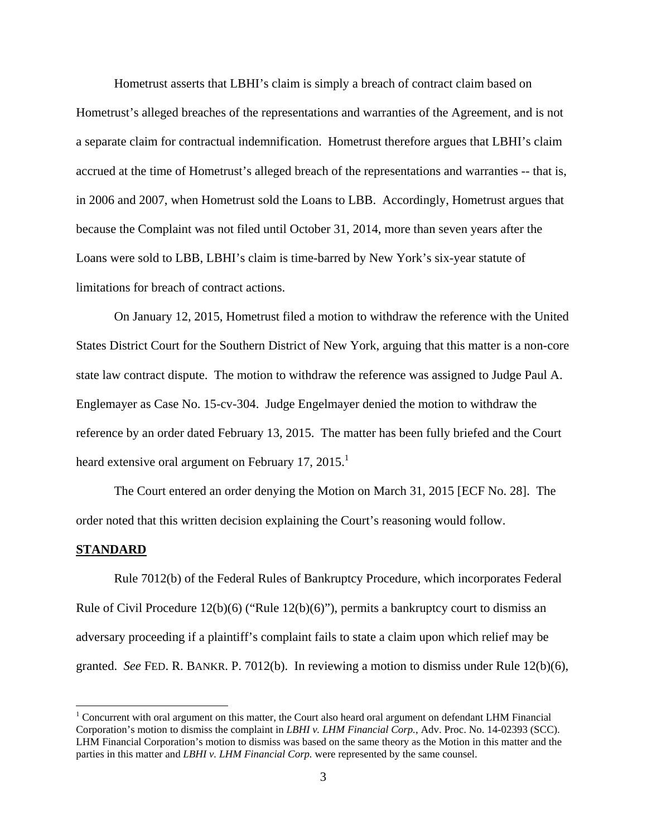Hometrust asserts that LBHI's claim is simply a breach of contract claim based on Hometrust's alleged breaches of the representations and warranties of the Agreement, and is not a separate claim for contractual indemnification. Hometrust therefore argues that LBHI's claim accrued at the time of Hometrust's alleged breach of the representations and warranties -- that is, in 2006 and 2007, when Hometrust sold the Loans to LBB. Accordingly, Hometrust argues that because the Complaint was not filed until October 31, 2014, more than seven years after the Loans were sold to LBB, LBHI's claim is time-barred by New York's six-year statute of limitations for breach of contract actions.

On January 12, 2015, Hometrust filed a motion to withdraw the reference with the United States District Court for the Southern District of New York, arguing that this matter is a non-core state law contract dispute. The motion to withdraw the reference was assigned to Judge Paul A. Englemayer as Case No. 15-cv-304. Judge Engelmayer denied the motion to withdraw the reference by an order dated February 13, 2015. The matter has been fully briefed and the Court heard extensive oral argument on February 17, 2015.<sup>1</sup>

The Court entered an order denying the Motion on March 31, 2015 [ECF No. 28]. The order noted that this written decision explaining the Court's reasoning would follow.

#### **STANDARD**

Rule 7012(b) of the Federal Rules of Bankruptcy Procedure, which incorporates Federal Rule of Civil Procedure  $12(b)(6)$  ("Rule  $12(b)(6)$ "), permits a bankruptcy court to dismiss an adversary proceeding if a plaintiff's complaint fails to state a claim upon which relief may be granted. *See* FED. R. BANKR. P. 7012(b). In reviewing a motion to dismiss under Rule 12(b)(6),

<sup>&</sup>lt;sup>1</sup> Concurrent with oral argument on this matter, the Court also heard oral argument on defendant LHM Financial Corporation's motion to dismiss the complaint in *LBHI v. LHM Financial Corp.*, Adv. Proc. No. 14-02393 (SCC). LHM Financial Corporation's motion to dismiss was based on the same theory as the Motion in this matter and the parties in this matter and *LBHI v. LHM Financial Corp.* were represented by the same counsel.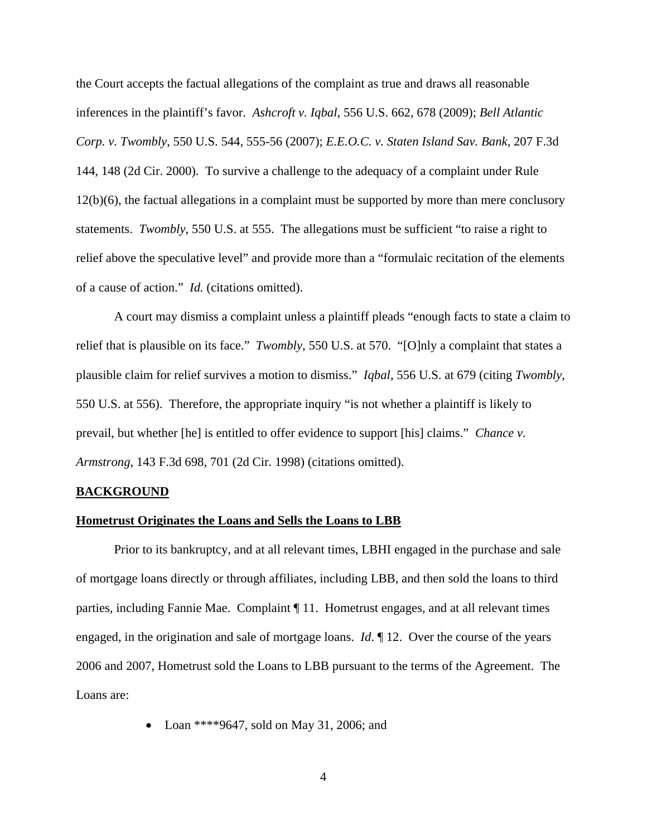the Court accepts the factual allegations of the complaint as true and draws all reasonable inferences in the plaintiff's favor. *Ashcroft v. Iqbal*, 556 U.S. 662, 678 (2009); *Bell Atlantic Corp. v. Twombly*, 550 U.S. 544, 555-56 (2007); *E.E.O.C. v. Staten Island Sav. Bank*, 207 F.3d 144, 148 (2d Cir. 2000). To survive a challenge to the adequacy of a complaint under Rule 12(b)(6), the factual allegations in a complaint must be supported by more than mere conclusory statements. *Twombly*, 550 U.S. at 555. The allegations must be sufficient "to raise a right to relief above the speculative level" and provide more than a "formulaic recitation of the elements of a cause of action." *Id.* (citations omitted).

A court may dismiss a complaint unless a plaintiff pleads "enough facts to state a claim to relief that is plausible on its face." *Twombly*, 550 U.S. at 570. "[O]nly a complaint that states a plausible claim for relief survives a motion to dismiss." *Iqbal*, 556 U.S. at 679 (citing *Twombly*, 550 U.S. at 556). Therefore, the appropriate inquiry "is not whether a plaintiff is likely to prevail, but whether [he] is entitled to offer evidence to support [his] claims." *Chance v. Armstrong*, 143 F.3d 698, 701 (2d Cir. 1998) (citations omitted).

### **BACKGROUND**

### **Hometrust Originates the Loans and Sells the Loans to LBB**

Prior to its bankruptcy, and at all relevant times, LBHI engaged in the purchase and sale of mortgage loans directly or through affiliates, including LBB, and then sold the loans to third parties, including Fannie Mae. Complaint ¶ 11. Hometrust engages, and at all relevant times engaged, in the origination and sale of mortgage loans. *Id*. ¶ 12. Over the course of the years 2006 and 2007, Hometrust sold the Loans to LBB pursuant to the terms of the Agreement. The Loans are:

• Loan \*\*\*\*9647, sold on May 31, 2006: and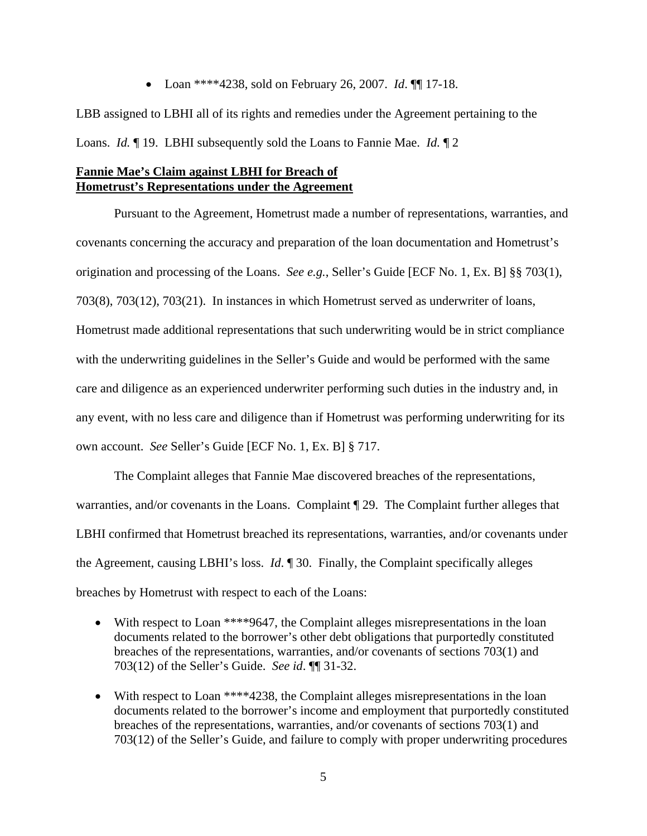Loan \*\*\*\*4238, sold on February 26, 2007. *Id*. ¶¶ 17-18.

LBB assigned to LBHI all of its rights and remedies under the Agreement pertaining to the Loans. *Id.* ¶ 19. LBHI subsequently sold the Loans to Fannie Mae. *Id.* ¶ 2

## **Fannie Mae's Claim against LBHI for Breach of Hometrust's Representations under the Agreement**

 Pursuant to the Agreement, Hometrust made a number of representations, warranties, and covenants concerning the accuracy and preparation of the loan documentation and Hometrust's origination and processing of the Loans. *See e.g.*, Seller's Guide [ECF No. 1, Ex. B] §§ 703(1), 703(8), 703(12), 703(21). In instances in which Hometrust served as underwriter of loans, Hometrust made additional representations that such underwriting would be in strict compliance with the underwriting guidelines in the Seller's Guide and would be performed with the same care and diligence as an experienced underwriter performing such duties in the industry and, in any event, with no less care and diligence than if Hometrust was performing underwriting for its own account. *See* Seller's Guide [ECF No. 1, Ex. B] § 717.

 The Complaint alleges that Fannie Mae discovered breaches of the representations, warranties, and/or covenants in the Loans. Complaint ¶ 29. The Complaint further alleges that LBHI confirmed that Hometrust breached its representations, warranties, and/or covenants under the Agreement, causing LBHI's loss. *Id*. ¶ 30. Finally, the Complaint specifically alleges breaches by Hometrust with respect to each of the Loans:

- With respect to Loan \*\*\*\*9647, the Complaint alleges misrepresentations in the loan documents related to the borrower's other debt obligations that purportedly constituted breaches of the representations, warranties, and/or covenants of sections 703(1) and 703(12) of the Seller's Guide. *See id*. ¶¶ 31-32.
- With respect to Loan \*\*\*\*4238, the Complaint alleges misrepresentations in the loan documents related to the borrower's income and employment that purportedly constituted breaches of the representations, warranties, and/or covenants of sections 703(1) and 703(12) of the Seller's Guide, and failure to comply with proper underwriting procedures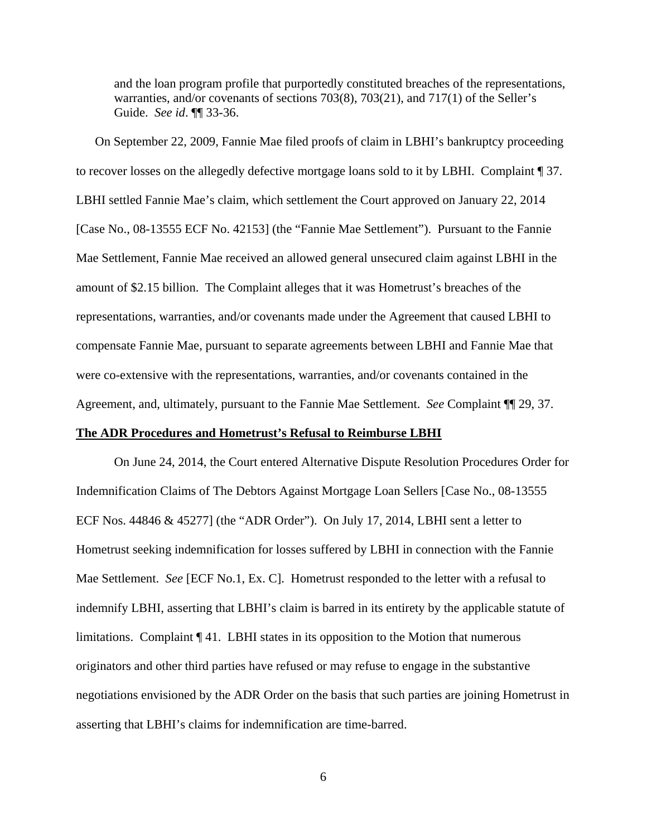and the loan program profile that purportedly constituted breaches of the representations, warranties, and/or covenants of sections 703(8), 703(21), and 717(1) of the Seller's Guide. *See id*. ¶¶ 33-36.

On September 22, 2009, Fannie Mae filed proofs of claim in LBHI's bankruptcy proceeding to recover losses on the allegedly defective mortgage loans sold to it by LBHI. Complaint ¶ 37. LBHI settled Fannie Mae's claim, which settlement the Court approved on January 22, 2014 [Case No., 08-13555 ECF No. 42153] (the "Fannie Mae Settlement"). Pursuant to the Fannie Mae Settlement, Fannie Mae received an allowed general unsecured claim against LBHI in the amount of \$2.15 billion. The Complaint alleges that it was Hometrust's breaches of the representations, warranties, and/or covenants made under the Agreement that caused LBHI to compensate Fannie Mae, pursuant to separate agreements between LBHI and Fannie Mae that were co-extensive with the representations, warranties, and/or covenants contained in the Agreement, and, ultimately, pursuant to the Fannie Mae Settlement. *See* Complaint ¶¶ 29, 37.

## **The ADR Procedures and Hometrust's Refusal to Reimburse LBHI**

 On June 24, 2014, the Court entered Alternative Dispute Resolution Procedures Order for Indemnification Claims of The Debtors Against Mortgage Loan Sellers [Case No., 08-13555 ECF Nos. 44846 & 45277] (the "ADR Order"). On July 17, 2014, LBHI sent a letter to Hometrust seeking indemnification for losses suffered by LBHI in connection with the Fannie Mae Settlement. *See* [ECF No.1, Ex. C]. Hometrust responded to the letter with a refusal to indemnify LBHI, asserting that LBHI's claim is barred in its entirety by the applicable statute of limitations. Complaint ¶ 41. LBHI states in its opposition to the Motion that numerous originators and other third parties have refused or may refuse to engage in the substantive negotiations envisioned by the ADR Order on the basis that such parties are joining Hometrust in asserting that LBHI's claims for indemnification are time-barred.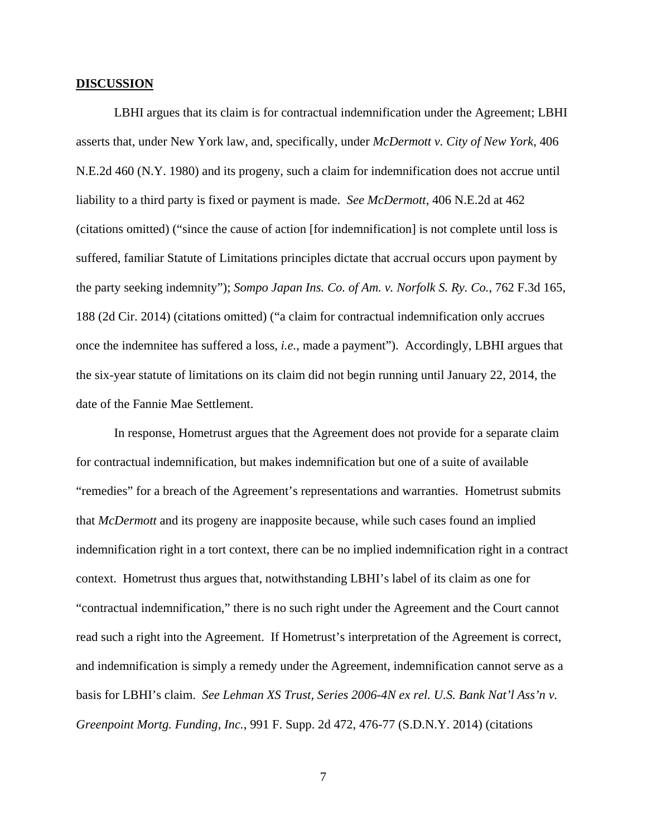#### **DISCUSSION**

LBHI argues that its claim is for contractual indemnification under the Agreement; LBHI asserts that, under New York law, and, specifically, under *McDermott v. City of New York*, 406 N.E.2d 460 (N.Y. 1980) and its progeny, such a claim for indemnification does not accrue until liability to a third party is fixed or payment is made. *See McDermott*, 406 N.E.2d at 462 (citations omitted) ("since the cause of action [for indemnification] is not complete until loss is suffered, familiar Statute of Limitations principles dictate that accrual occurs upon payment by the party seeking indemnity"); *Sompo Japan Ins. Co. of Am. v. Norfolk S. Ry. Co.*, 762 F.3d 165, 188 (2d Cir. 2014) (citations omitted) ("a claim for contractual indemnification only accrues once the indemnitee has suffered a loss, *i.e.*, made a payment"). Accordingly, LBHI argues that the six-year statute of limitations on its claim did not begin running until January 22, 2014, the date of the Fannie Mae Settlement.

In response, Hometrust argues that the Agreement does not provide for a separate claim for contractual indemnification, but makes indemnification but one of a suite of available "remedies" for a breach of the Agreement's representations and warranties. Hometrust submits that *McDermott* and its progeny are inapposite because, while such cases found an implied indemnification right in a tort context, there can be no implied indemnification right in a contract context. Hometrust thus argues that, notwithstanding LBHI's label of its claim as one for "contractual indemnification," there is no such right under the Agreement and the Court cannot read such a right into the Agreement. If Hometrust's interpretation of the Agreement is correct, and indemnification is simply a remedy under the Agreement, indemnification cannot serve as a basis for LBHI's claim. *See Lehman XS Trust, Series 2006-4N ex rel. U.S. Bank Nat'l Ass'n v. Greenpoint Mortg. Funding, Inc.*, 991 F. Supp. 2d 472, 476-77 (S.D.N.Y. 2014) (citations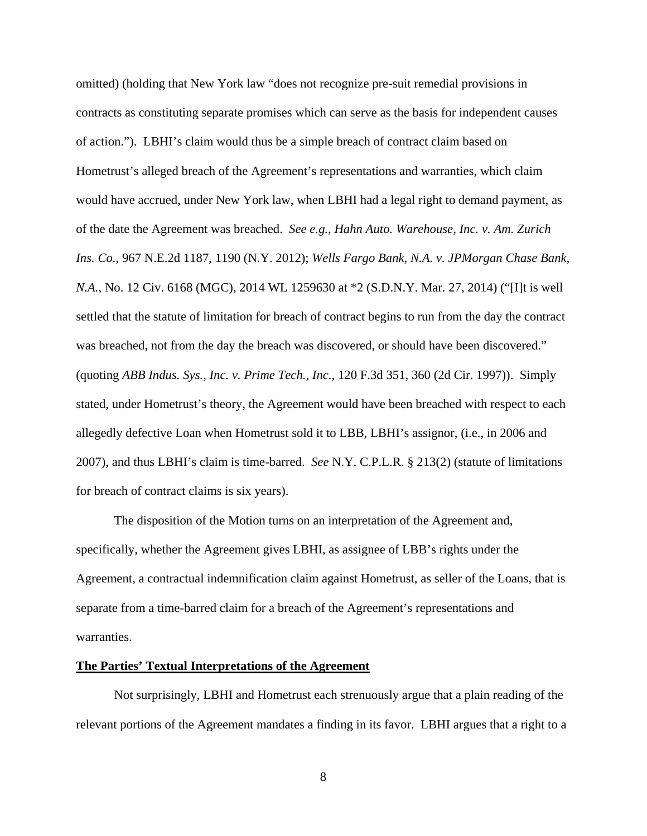omitted) (holding that New York law "does not recognize pre-suit remedial provisions in contracts as constituting separate promises which can serve as the basis for independent causes of action."). LBHI's claim would thus be a simple breach of contract claim based on Hometrust's alleged breach of the Agreement's representations and warranties, which claim would have accrued, under New York law, when LBHI had a legal right to demand payment, as of the date the Agreement was breached. *See e.g.*, *Hahn Auto. Warehouse, Inc. v. Am. Zurich Ins. Co.*, 967 N.E.2d 1187, 1190 (N.Y. 2012); *Wells Fargo Bank, N.A. v. JPMorgan Chase Bank, N.A.*, No. 12 Civ. 6168 (MGC), 2014 WL 1259630 at \*2 (S.D.N.Y. Mar. 27, 2014) ("[I]t is well settled that the statute of limitation for breach of contract begins to run from the day the contract was breached, not from the day the breach was discovered, or should have been discovered." (quoting *ABB Indus. Sys., Inc. v. Prime Tech., Inc.*, 120 F.3d 351, 360 (2d Cir. 1997)). Simply stated, under Hometrust's theory, the Agreement would have been breached with respect to each allegedly defective Loan when Hometrust sold it to LBB, LBHI's assignor, (i.e., in 2006 and 2007), and thus LBHI's claim is time-barred. *See* N.Y. C.P.L.R. § 213(2) (statute of limitations for breach of contract claims is six years).

The disposition of the Motion turns on an interpretation of the Agreement and, specifically, whether the Agreement gives LBHI, as assignee of LBB's rights under the Agreement, a contractual indemnification claim against Hometrust, as seller of the Loans, that is separate from a time-barred claim for a breach of the Agreement's representations and warranties.

## **The Parties' Textual Interpretations of the Agreement**

Not surprisingly, LBHI and Hometrust each strenuously argue that a plain reading of the relevant portions of the Agreement mandates a finding in its favor. LBHI argues that a right to a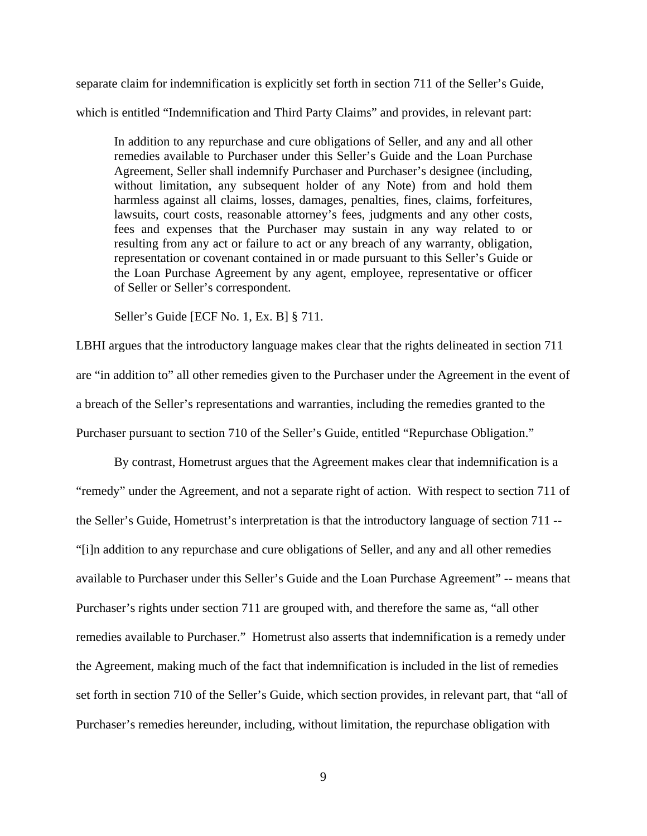separate claim for indemnification is explicitly set forth in section 711 of the Seller's Guide, which is entitled "Indemnification and Third Party Claims" and provides, in relevant part:

In addition to any repurchase and cure obligations of Seller, and any and all other remedies available to Purchaser under this Seller's Guide and the Loan Purchase Agreement, Seller shall indemnify Purchaser and Purchaser's designee (including, without limitation, any subsequent holder of any Note) from and hold them harmless against all claims, losses, damages, penalties, fines, claims, forfeitures, lawsuits, court costs, reasonable attorney's fees, judgments and any other costs, fees and expenses that the Purchaser may sustain in any way related to or resulting from any act or failure to act or any breach of any warranty, obligation, representation or covenant contained in or made pursuant to this Seller's Guide or the Loan Purchase Agreement by any agent, employee, representative or officer of Seller or Seller's correspondent.

Seller's Guide [ECF No. 1, Ex. B] § 711.

LBHI argues that the introductory language makes clear that the rights delineated in section 711 are "in addition to" all other remedies given to the Purchaser under the Agreement in the event of a breach of the Seller's representations and warranties, including the remedies granted to the Purchaser pursuant to section 710 of the Seller's Guide, entitled "Repurchase Obligation."

By contrast, Hometrust argues that the Agreement makes clear that indemnification is a "remedy" under the Agreement, and not a separate right of action. With respect to section 711 of the Seller's Guide, Hometrust's interpretation is that the introductory language of section 711 -- "[i]n addition to any repurchase and cure obligations of Seller, and any and all other remedies available to Purchaser under this Seller's Guide and the Loan Purchase Agreement" -- means that Purchaser's rights under section 711 are grouped with, and therefore the same as, "all other remedies available to Purchaser." Hometrust also asserts that indemnification is a remedy under the Agreement, making much of the fact that indemnification is included in the list of remedies set forth in section 710 of the Seller's Guide, which section provides, in relevant part, that "all of Purchaser's remedies hereunder, including, without limitation, the repurchase obligation with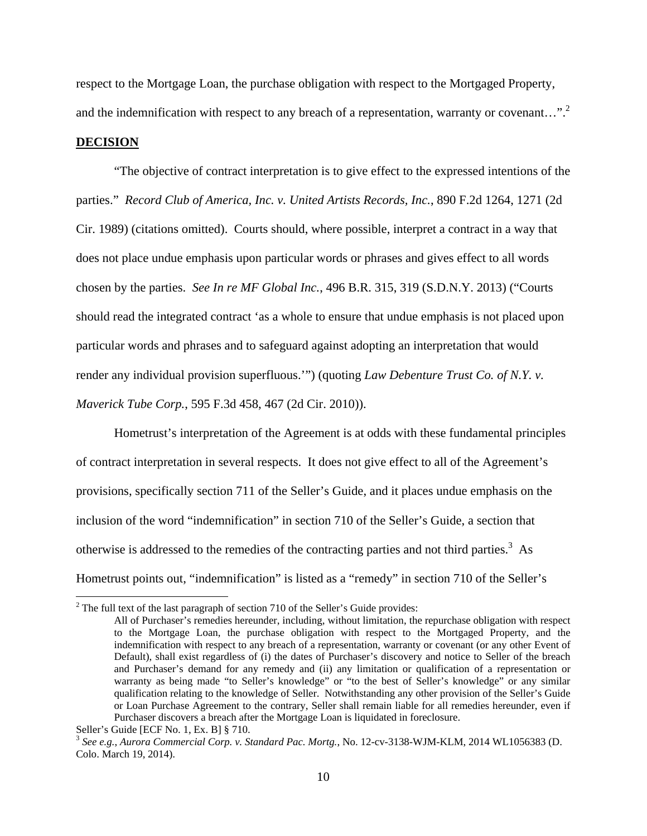respect to the Mortgage Loan, the purchase obligation with respect to the Mortgaged Property, and the indemnification with respect to any breach of a representation, warranty or covenant...".<sup>2</sup>

#### **DECISION**

 "The objective of contract interpretation is to give effect to the expressed intentions of the parties." *Record Club of America, Inc. v. United Artists Records, Inc.*, 890 F.2d 1264, 1271 (2d Cir. 1989) (citations omitted). Courts should, where possible, interpret a contract in a way that does not place undue emphasis upon particular words or phrases and gives effect to all words chosen by the parties. *See In re MF Global Inc.*, 496 B.R. 315, 319 (S.D.N.Y. 2013) ("Courts should read the integrated contract 'as a whole to ensure that undue emphasis is not placed upon particular words and phrases and to safeguard against adopting an interpretation that would render any individual provision superfluous.'") (quoting *Law Debenture Trust Co. of N.Y. v. Maverick Tube Corp.*, 595 F.3d 458, 467 (2d Cir. 2010)).

Hometrust's interpretation of the Agreement is at odds with these fundamental principles of contract interpretation in several respects. It does not give effect to all of the Agreement's provisions, specifically section 711 of the Seller's Guide, and it places undue emphasis on the inclusion of the word "indemnification" in section 710 of the Seller's Guide, a section that otherwise is addressed to the remedies of the contracting parties and not third parties.<sup>3</sup> As Hometrust points out, "indemnification" is listed as a "remedy" in section 710 of the Seller's

 $2$  The full text of the last paragraph of section 710 of the Seller's Guide provides:

All of Purchaser's remedies hereunder, including, without limitation, the repurchase obligation with respect to the Mortgage Loan, the purchase obligation with respect to the Mortgaged Property, and the indemnification with respect to any breach of a representation, warranty or covenant (or any other Event of Default), shall exist regardless of (i) the dates of Purchaser's discovery and notice to Seller of the breach and Purchaser's demand for any remedy and (ii) any limitation or qualification of a representation or warranty as being made "to Seller's knowledge" or "to the best of Seller's knowledge" or any similar qualification relating to the knowledge of Seller. Notwithstanding any other provision of the Seller's Guide or Loan Purchase Agreement to the contrary, Seller shall remain liable for all remedies hereunder, even if Purchaser discovers a breach after the Mortgage Loan is liquidated in foreclosure.

Seller's Guide [ECF No. 1, Ex. B] § 710.

<sup>3</sup> *See e.g.*, *Aurora Commercial Corp. v. Standard Pac. Mortg.*, No. 12-cv-3138-WJM-KLM, 2014 WL1056383 (D. Colo. March 19, 2014).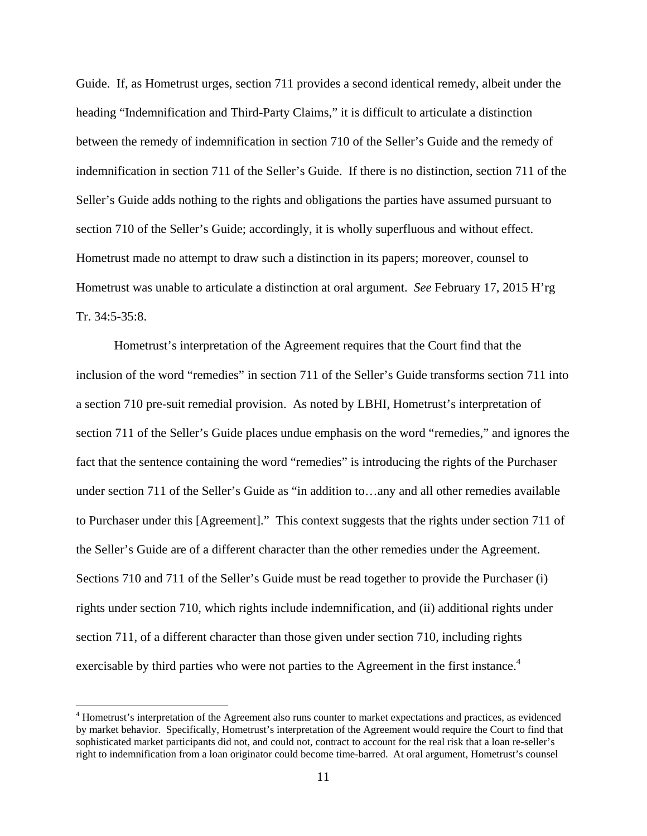Guide. If, as Hometrust urges, section 711 provides a second identical remedy, albeit under the heading "Indemnification and Third-Party Claims," it is difficult to articulate a distinction between the remedy of indemnification in section 710 of the Seller's Guide and the remedy of indemnification in section 711 of the Seller's Guide. If there is no distinction, section 711 of the Seller's Guide adds nothing to the rights and obligations the parties have assumed pursuant to section 710 of the Seller's Guide; accordingly, it is wholly superfluous and without effect. Hometrust made no attempt to draw such a distinction in its papers; moreover, counsel to Hometrust was unable to articulate a distinction at oral argument. *See* February 17, 2015 H'rg Tr. 34:5-35:8.

Hometrust's interpretation of the Agreement requires that the Court find that the inclusion of the word "remedies" in section 711 of the Seller's Guide transforms section 711 into a section 710 pre-suit remedial provision. As noted by LBHI, Hometrust's interpretation of section 711 of the Seller's Guide places undue emphasis on the word "remedies," and ignores the fact that the sentence containing the word "remedies" is introducing the rights of the Purchaser under section 711 of the Seller's Guide as "in addition to…any and all other remedies available to Purchaser under this [Agreement]." This context suggests that the rights under section 711 of the Seller's Guide are of a different character than the other remedies under the Agreement. Sections 710 and 711 of the Seller's Guide must be read together to provide the Purchaser (i) rights under section 710, which rights include indemnification, and (ii) additional rights under section 711, of a different character than those given under section 710, including rights exercisable by third parties who were not parties to the Agreement in the first instance.<sup>4</sup>

<sup>&</sup>lt;sup>4</sup> Hometrust's interpretation of the Agreement also runs counter to market expectations and practices, as evidenced by market behavior. Specifically, Hometrust's interpretation of the Agreement would require the Court to find that sophisticated market participants did not, and could not, contract to account for the real risk that a loan re-seller's right to indemnification from a loan originator could become time-barred. At oral argument, Hometrust's counsel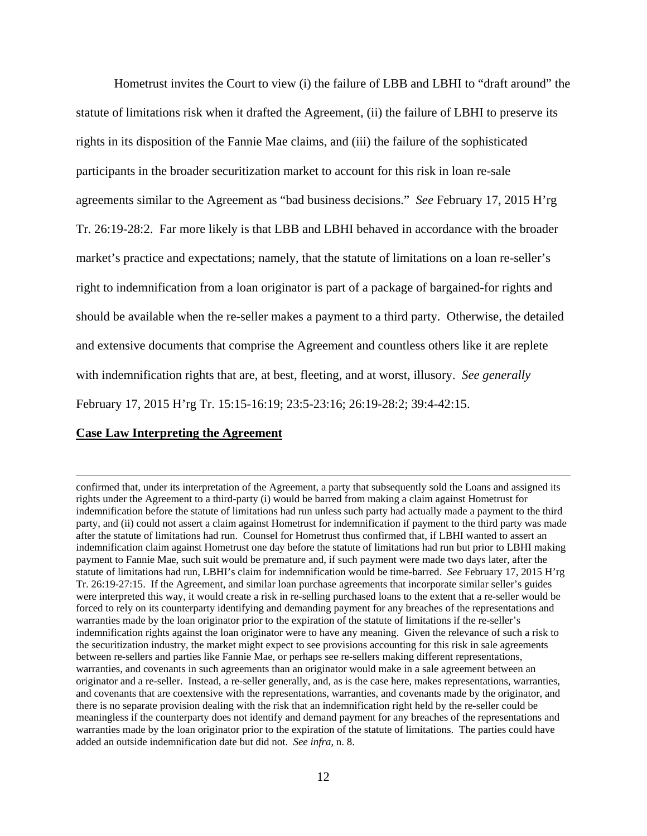Hometrust invites the Court to view (i) the failure of LBB and LBHI to "draft around" the statute of limitations risk when it drafted the Agreement, (ii) the failure of LBHI to preserve its rights in its disposition of the Fannie Mae claims, and (iii) the failure of the sophisticated participants in the broader securitization market to account for this risk in loan re-sale agreements similar to the Agreement as "bad business decisions." *See* February 17, 2015 H'rg Tr. 26:19-28:2. Far more likely is that LBB and LBHI behaved in accordance with the broader market's practice and expectations; namely, that the statute of limitations on a loan re-seller's right to indemnification from a loan originator is part of a package of bargained-for rights and should be available when the re-seller makes a payment to a third party. Otherwise, the detailed and extensive documents that comprise the Agreement and countless others like it are replete with indemnification rights that are, at best, fleeting, and at worst, illusory. *See generally*  February 17, 2015 H'rg Tr. 15:15-16:19; 23:5-23:16; 26:19-28:2; 39:4-42:15.

## **Case Law Interpreting the Agreement**

<u> 1989 - Johann Stoff, amerikansk politiker (d. 1989)</u>

confirmed that, under its interpretation of the Agreement, a party that subsequently sold the Loans and assigned its rights under the Agreement to a third-party (i) would be barred from making a claim against Hometrust for indemnification before the statute of limitations had run unless such party had actually made a payment to the third party, and (ii) could not assert a claim against Hometrust for indemnification if payment to the third party was made after the statute of limitations had run. Counsel for Hometrust thus confirmed that, if LBHI wanted to assert an indemnification claim against Hometrust one day before the statute of limitations had run but prior to LBHI making payment to Fannie Mae, such suit would be premature and, if such payment were made two days later, after the statute of limitations had run, LBHI's claim for indemnification would be time-barred. *See* February 17, 2015 H'rg Tr. 26:19-27:15. If the Agreement, and similar loan purchase agreements that incorporate similar seller's guides were interpreted this way, it would create a risk in re-selling purchased loans to the extent that a re-seller would be forced to rely on its counterparty identifying and demanding payment for any breaches of the representations and warranties made by the loan originator prior to the expiration of the statute of limitations if the re-seller's indemnification rights against the loan originator were to have any meaning. Given the relevance of such a risk to the securitization industry, the market might expect to see provisions accounting for this risk in sale agreements between re-sellers and parties like Fannie Mae, or perhaps see re-sellers making different representations, warranties, and covenants in such agreements than an originator would make in a sale agreement between an originator and a re-seller. Instead, a re-seller generally, and, as is the case here, makes representations, warranties, and covenants that are coextensive with the representations, warranties, and covenants made by the originator, and there is no separate provision dealing with the risk that an indemnification right held by the re-seller could be meaningless if the counterparty does not identify and demand payment for any breaches of the representations and warranties made by the loan originator prior to the expiration of the statute of limitations. The parties could have added an outside indemnification date but did not. *See infra*, n. 8.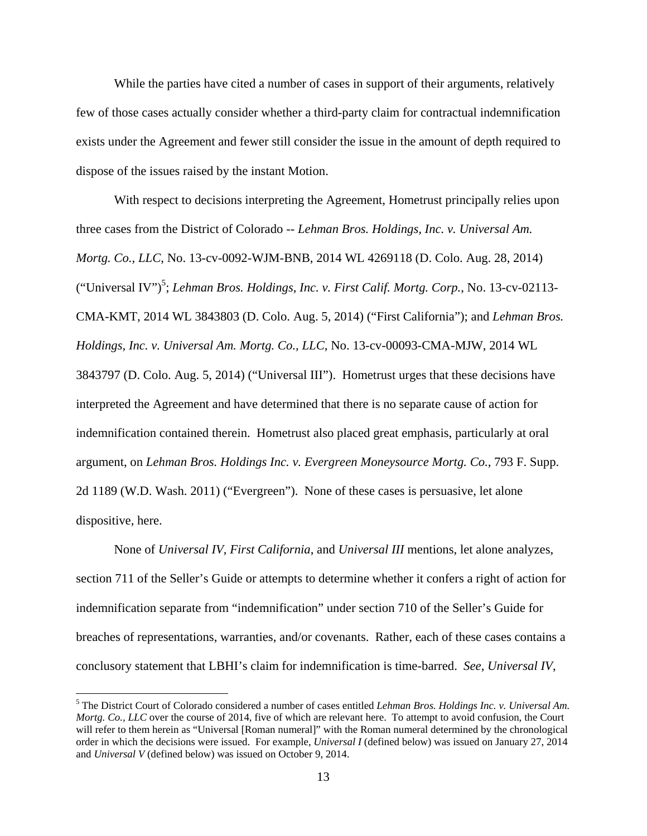While the parties have cited a number of cases in support of their arguments, relatively few of those cases actually consider whether a third-party claim for contractual indemnification exists under the Agreement and fewer still consider the issue in the amount of depth required to dispose of the issues raised by the instant Motion.

With respect to decisions interpreting the Agreement, Hometrust principally relies upon three cases from the District of Colorado -- *Lehman Bros. Holdings, Inc. v. Universal Am. Mortg. Co., LLC*, No. 13-cv-0092-WJM-BNB, 2014 WL 4269118 (D. Colo. Aug. 28, 2014) ("Universal IV")<sup>5</sup>; *Lehman Bros. Holdings, Inc. v. First Calif. Mortg. Corp.*, No. 13-cv-02113-CMA-KMT, 2014 WL 3843803 (D. Colo. Aug. 5, 2014) ("First California"); and *Lehman Bros. Holdings, Inc. v. Universal Am. Mortg. Co., LLC*, No. 13-cv-00093-CMA-MJW, 2014 WL 3843797 (D. Colo. Aug. 5, 2014) ("Universal III"). Hometrust urges that these decisions have interpreted the Agreement and have determined that there is no separate cause of action for indemnification contained therein. Hometrust also placed great emphasis, particularly at oral argument, on *Lehman Bros. Holdings Inc. v. Evergreen Moneysource Mortg. Co.*, 793 F. Supp. 2d 1189 (W.D. Wash. 2011) ("Evergreen"). None of these cases is persuasive, let alone dispositive, here.

None of *Universal IV*, *First California*, and *Universal III* mentions, let alone analyzes, section 711 of the Seller's Guide or attempts to determine whether it confers a right of action for indemnification separate from "indemnification" under section 710 of the Seller's Guide for breaches of representations, warranties, and/or covenants. Rather, each of these cases contains a conclusory statement that LBHI's claim for indemnification is time-barred. *See*, *Universal IV*,

<sup>5</sup> The District Court of Colorado considered a number of cases entitled *Lehman Bros. Holdings Inc. v. Universal Am. Mortg. Co., LLC* over the course of 2014, five of which are relevant here. To attempt to avoid confusion, the Court will refer to them herein as "Universal [Roman numeral]" with the Roman numeral determined by the chronological order in which the decisions were issued. For example, *Universal I* (defined below) was issued on January 27, 2014 and *Universal V* (defined below) was issued on October 9, 2014.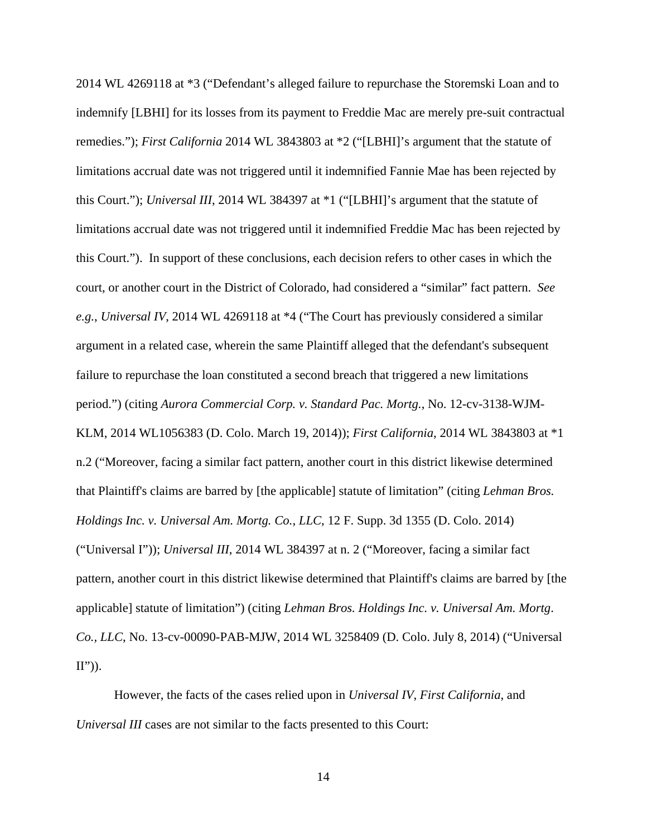2014 WL 4269118 at \*3 ("Defendant's alleged failure to repurchase the Storemski Loan and to indemnify [LBHI] for its losses from its payment to Freddie Mac are merely pre-suit contractual remedies."); *First California* 2014 WL 3843803 at \*2 ("[LBHI]'s argument that the statute of limitations accrual date was not triggered until it indemnified Fannie Mae has been rejected by this Court."); *Universal III*, 2014 WL 384397 at \*1 ("[LBHI]'s argument that the statute of limitations accrual date was not triggered until it indemnified Freddie Mac has been rejected by this Court."). In support of these conclusions, each decision refers to other cases in which the court, or another court in the District of Colorado, had considered a "similar" fact pattern. *See e.g.*, *Universal IV*, 2014 WL 4269118 at \*4 ("The Court has previously considered a similar argument in a related case, wherein the same Plaintiff alleged that the defendant's subsequent failure to repurchase the loan constituted a second breach that triggered a new limitations period.") (citing *Aurora Commercial Corp. v. Standard Pac. Mortg.*, No. 12-cv-3138-WJM-KLM, 2014 WL1056383 (D. Colo. March 19, 2014)); *First California*, 2014 WL 3843803 at \*1 n.2 ("Moreover, facing a similar fact pattern, another court in this district likewise determined that Plaintiff's claims are barred by [the applicable] statute of limitation" (citing *Lehman Bros. Holdings Inc. v. Universal Am. Mortg. Co., LLC*, 12 F. Supp. 3d 1355 (D. Colo. 2014) ("Universal I")); *Universal III*, 2014 WL 384397 at n. 2 ("Moreover, facing a similar fact pattern, another court in this district likewise determined that Plaintiff's claims are barred by [the applicable] statute of limitation") (citing *Lehman Bros. Holdings Inc. v. Universal Am. Mortg*. *Co., LLC*, No. 13-cv-00090-PAB-MJW, 2014 WL 3258409 (D. Colo. July 8, 2014) ("Universal  $\mathbf{II}^{\prime\prime})$ ).

However, the facts of the cases relied upon in *Universal IV*, *First California*, and *Universal III* cases are not similar to the facts presented to this Court: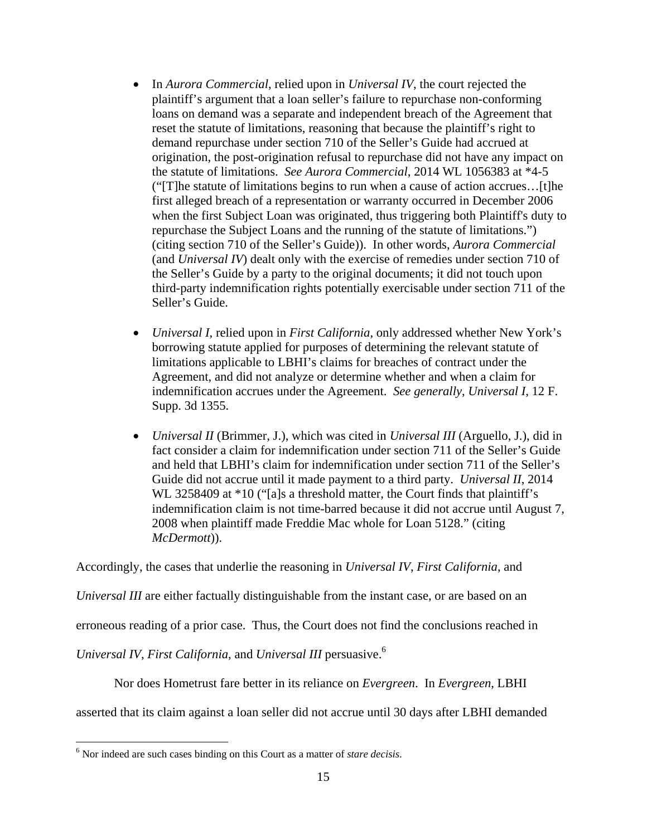- In *Aurora Commercial*, relied upon in *Universal IV*, the court rejected the plaintiff's argument that a loan seller's failure to repurchase non-conforming loans on demand was a separate and independent breach of the Agreement that reset the statute of limitations, reasoning that because the plaintiff's right to demand repurchase under section 710 of the Seller's Guide had accrued at origination, the post-origination refusal to repurchase did not have any impact on the statute of limitations. *See Aurora Commercial*, 2014 WL 1056383 at \*4-5 ("[T]he statute of limitations begins to run when a cause of action accrues…[t]he first alleged breach of a representation or warranty occurred in December 2006 when the first Subject Loan was originated, thus triggering both Plaintiff's duty to repurchase the Subject Loans and the running of the statute of limitations.") (citing section 710 of the Seller's Guide)). In other words, *Aurora Commercial*  (and *Universal IV*) dealt only with the exercise of remedies under section 710 of the Seller's Guide by a party to the original documents; it did not touch upon third-party indemnification rights potentially exercisable under section 711 of the Seller's Guide.
- *Universal I*, relied upon in *First California*, only addressed whether New York's borrowing statute applied for purposes of determining the relevant statute of limitations applicable to LBHI's claims for breaches of contract under the Agreement, and did not analyze or determine whether and when a claim for indemnification accrues under the Agreement. *See generally*, *Universal I*, 12 F. Supp. 3d 1355.
- *Universal II* (Brimmer, J.), which was cited in *Universal III* (Arguello, J.), did in fact consider a claim for indemnification under section 711 of the Seller's Guide and held that LBHI's claim for indemnification under section 711 of the Seller's Guide did not accrue until it made payment to a third party. *Universal II*, 2014 WL 3258409 at \*10 ("[a]s a threshold matter, the Court finds that plaintiff's indemnification claim is not time-barred because it did not accrue until August 7, 2008 when plaintiff made Freddie Mac whole for Loan 5128." (citing *McDermott*)).

Accordingly, the cases that underlie the reasoning in *Universal IV*, *First California*, and

*Universal III* are either factually distinguishable from the instant case, or are based on an

erroneous reading of a prior case. Thus, the Court does not find the conclusions reached in

*Universal IV*, *First California*, and *Universal III* persuasive.6

Nor does Hometrust fare better in its reliance on *Evergreen*. In *Evergreen*, LBHI

asserted that its claim against a loan seller did not accrue until 30 days after LBHI demanded

<sup>6</sup> Nor indeed are such cases binding on this Court as a matter of *stare decisis*.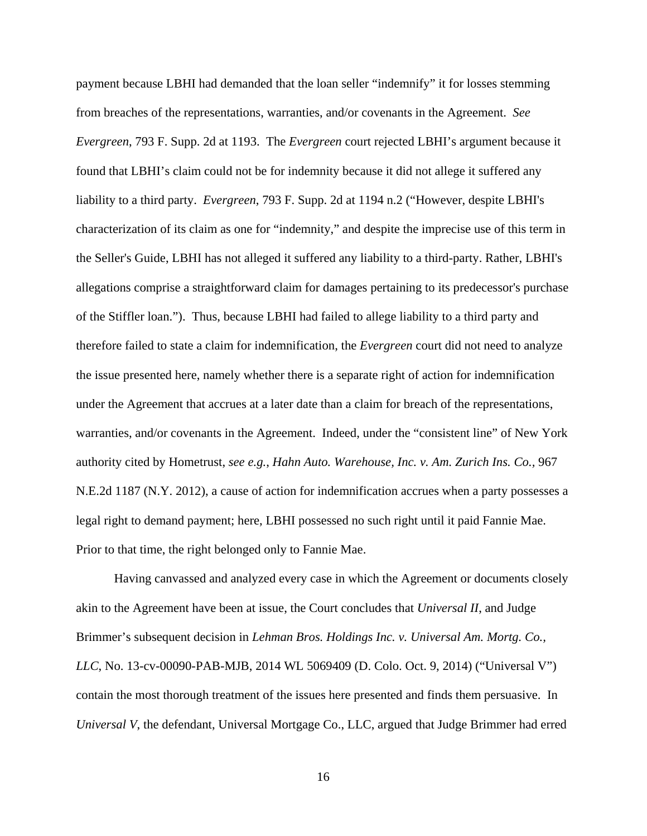payment because LBHI had demanded that the loan seller "indemnify" it for losses stemming from breaches of the representations, warranties, and/or covenants in the Agreement. *See Evergreen*, 793 F. Supp. 2d at 1193. The *Evergreen* court rejected LBHI's argument because it found that LBHI's claim could not be for indemnity because it did not allege it suffered any liability to a third party. *Evergreen*, 793 F. Supp. 2d at 1194 n.2 ("However, despite LBHI's characterization of its claim as one for "indemnity," and despite the imprecise use of this term in the Seller's Guide, LBHI has not alleged it suffered any liability to a third-party. Rather, LBHI's allegations comprise a straightforward claim for damages pertaining to its predecessor's purchase of the Stiffler loan."). Thus, because LBHI had failed to allege liability to a third party and therefore failed to state a claim for indemnification, the *Evergreen* court did not need to analyze the issue presented here, namely whether there is a separate right of action for indemnification under the Agreement that accrues at a later date than a claim for breach of the representations, warranties, and/or covenants in the Agreement. Indeed, under the "consistent line" of New York authority cited by Hometrust, *see e.g.*, *Hahn Auto. Warehouse, Inc. v. Am. Zurich Ins. Co.,* 967 N.E.2d 1187 (N.Y. 2012), a cause of action for indemnification accrues when a party possesses a legal right to demand payment; here, LBHI possessed no such right until it paid Fannie Mae. Prior to that time, the right belonged only to Fannie Mae.

Having canvassed and analyzed every case in which the Agreement or documents closely akin to the Agreement have been at issue, the Court concludes that *Universal II*, and Judge Brimmer's subsequent decision in *Lehman Bros. Holdings Inc. v. Universal Am. Mortg. Co., LLC*, No. 13-cv-00090-PAB-MJB, 2014 WL 5069409 (D. Colo. Oct. 9, 2014) ("Universal V") contain the most thorough treatment of the issues here presented and finds them persuasive. In *Universal V*, the defendant, Universal Mortgage Co., LLC, argued that Judge Brimmer had erred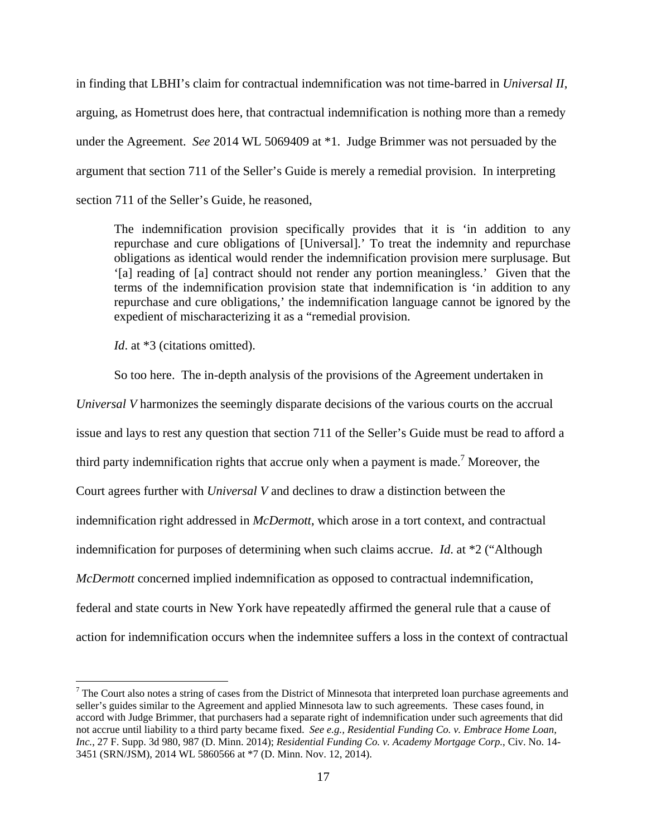in finding that LBHI's claim for contractual indemnification was not time-barred in *Universal II*, arguing, as Hometrust does here, that contractual indemnification is nothing more than a remedy under the Agreement. *See* 2014 WL 5069409 at \*1. Judge Brimmer was not persuaded by the argument that section 711 of the Seller's Guide is merely a remedial provision. In interpreting section 711 of the Seller's Guide, he reasoned,

The indemnification provision specifically provides that it is 'in addition to any repurchase and cure obligations of [Universal].' To treat the indemnity and repurchase obligations as identical would render the indemnification provision mere surplusage. But '[a] reading of [a] contract should not render any portion meaningless.' Given that the terms of the indemnification provision state that indemnification is 'in addition to any repurchase and cure obligations,' the indemnification language cannot be ignored by the expedient of mischaracterizing it as a "remedial provision.

*Id.* at \*3 (citations omitted).

So too here. The in-depth analysis of the provisions of the Agreement undertaken in

*Universal V* harmonizes the seemingly disparate decisions of the various courts on the accrual issue and lays to rest any question that section 711 of the Seller's Guide must be read to afford a third party indemnification rights that accrue only when a payment is made.<sup>7</sup> Moreover, the Court agrees further with *Universal V* and declines to draw a distinction between the indemnification right addressed in *McDermott*, which arose in a tort context, and contractual indemnification for purposes of determining when such claims accrue. *Id*. at \*2 ("Although *McDermott* concerned implied indemnification as opposed to contractual indemnification, federal and state courts in New York have repeatedly affirmed the general rule that a cause of action for indemnification occurs when the indemnitee suffers a loss in the context of contractual

 $7$  The Court also notes a string of cases from the District of Minnesota that interpreted loan purchase agreements and seller's guides similar to the Agreement and applied Minnesota law to such agreements. These cases found, in accord with Judge Brimmer, that purchasers had a separate right of indemnification under such agreements that did not accrue until liability to a third party became fixed. *See e.g., Residential Funding Co. v. Embrace Home Loan, Inc.*, 27 F. Supp. 3d 980, 987 (D. Minn. 2014); *Residential Funding Co. v. Academy Mortgage Corp.*, Civ. No. 14- 3451 (SRN/JSM), 2014 WL 5860566 at \*7 (D. Minn. Nov. 12, 2014).